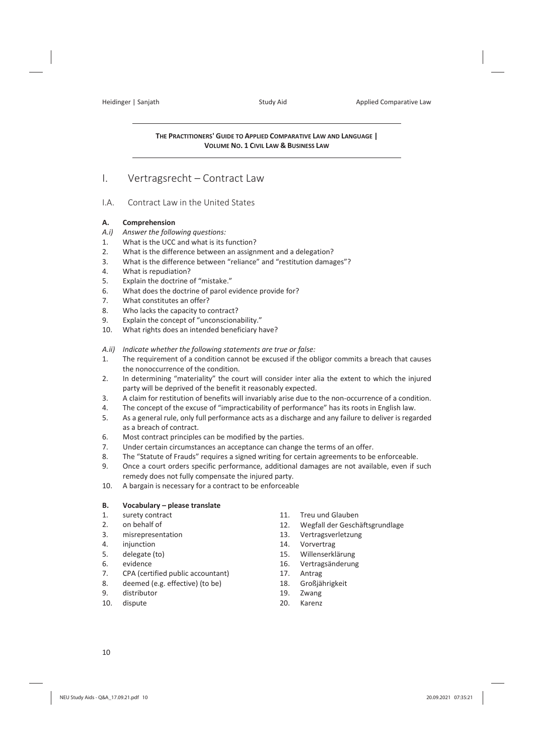#### **THE PRACTITIONERS' GUIDE TO APPLIED COMPARATIVE LAW AND LANGUAGE | VOLUME NO. 1 CIVIL LAW & BUSINESS LAW**

### I. Vertragsrecht – Contract Law

#### I.A. Contract Law in the United States

#### **A. Comprehension**

- *A.i) Answer the following questions:*
- 1. What is the UCC and what is its function?
- 2. What is the difference between an assignment and a delegation?
- 3. What is the difference between "reliance" and "restitution damages"?
- 4. What is repudiation?
- 5. Explain the doctrine of "mistake."
- 6. What does the doctrine of parol evidence provide for?
- 7. What constitutes an offer?
- 8. Who lacks the capacity to contract?
- 9. Explain the concept of "unconscionability."
- 10. What rights does an intended beneficiary have?
- *A.ii) Indicate whether the following statements are true or false:*
- 1. The requirement of a condition cannot be excused if the obligor commits a breach that causes the nonoccurrence of the condition.
- 2. In determining "materiality" the court will consider inter alia the extent to which the injured party will be deprived of the benefit it reasonably expected.
- 3. A claim for restitution of benefits will invariably arise due to the non-occurrence of a condition.
- 4. The concept of the excuse of "impracticability of performance" has its roots in English law.
- 5. As a general rule, only full performance acts as a discharge and any failure to deliver is regarded as a breach of contract.
- 6. Most contract principles can be modified by the parties.
- 7. Under certain circumstances an acceptance can change the terms of an offer.
- 8. The "Statute of Frauds" requires a signed writing for certain agreements to be enforceable.
- 9. Once a court orders specific performance, additional damages are not available, even if such remedy does not fully compensate the injured party.
- 10. A bargain is necessary for a contract to be enforceable

#### **B. Vocabulary – please translate**

- 1. surety contract
- 2. on behalf of
- 3. misrepresentation
- 4. injunction
- 5. delegate (to)
- 6. evidence
- 7. CPA (certified public accountant)
- 8. deemed (e.g. effective) (to be)
- 9. distributor
- 10. dispute
- 11. Treu und Glauben
- 12. Wegfall der Geschäftsgrundlage
- 13. Vertragsverletzung
- 14. Vorvertrag
- 15. Willenserklärung
- 16. Vertragsänderung
- 17. Antrag
- 18. Großjährigkeit
- 19. Zwang
- 20. Karenz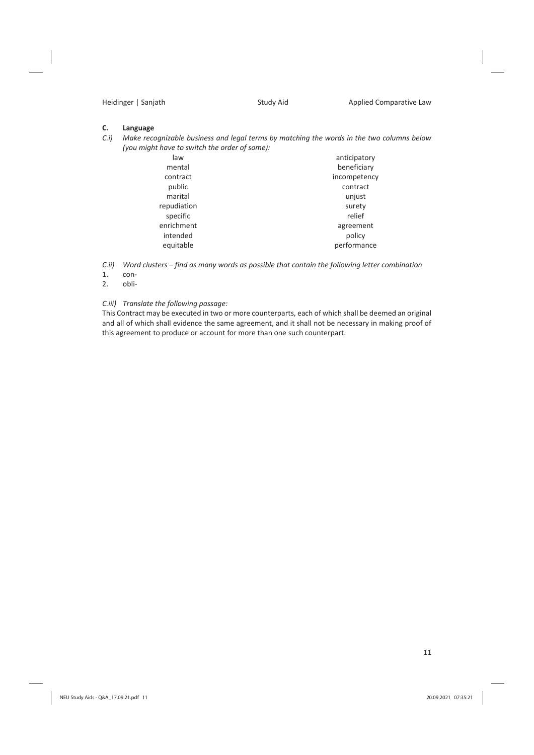#### **C. Language**

*C.i) Make recognizable business and legal terms by matching the words in the two columns below (you might have to switch the order of some):* 

| beneficiary<br>mental<br>incompetency<br>contract<br>public<br>contract<br>marital<br>unjust<br>repudiation<br>surety<br>specific<br>relief<br>enrichment<br>agreement<br>intended<br>policy<br>performance<br>equitable | law | anticipatory |  |
|--------------------------------------------------------------------------------------------------------------------------------------------------------------------------------------------------------------------------|-----|--------------|--|
|                                                                                                                                                                                                                          |     |              |  |
|                                                                                                                                                                                                                          |     |              |  |
|                                                                                                                                                                                                                          |     |              |  |
|                                                                                                                                                                                                                          |     |              |  |
|                                                                                                                                                                                                                          |     |              |  |
|                                                                                                                                                                                                                          |     |              |  |
|                                                                                                                                                                                                                          |     |              |  |
|                                                                                                                                                                                                                          |     |              |  |
|                                                                                                                                                                                                                          |     |              |  |

*C.ii) Word clusters – find as many words as possible that contain the following letter combination* 

- 1. con-
- 2. obli-

#### *C.iii) Translate the following passage:*

This Contract may be executed in two or more counterparts, each of which shall be deemed an original and all of which shall evidence the same agreement, and it shall not be necessary in making proof of this agreement to produce or account for more than one such counterpart.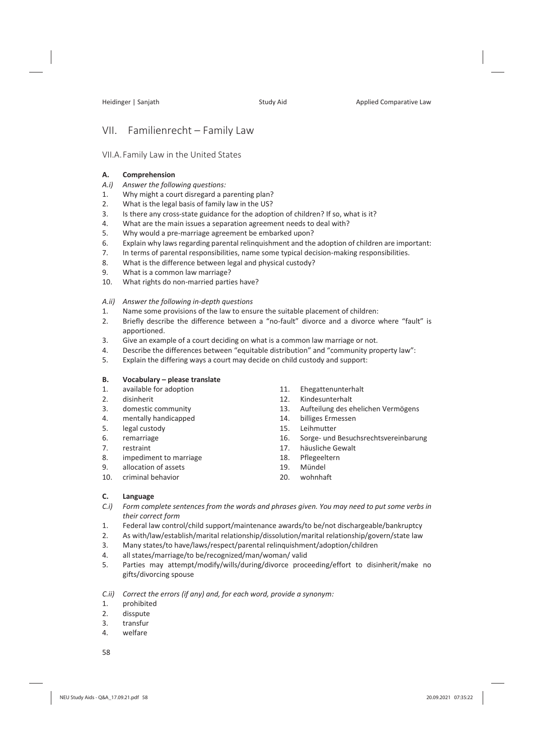# VII. Familienrecht – Family Law

### VII.A.Family Law in the United States

### **A. Comprehension**

- *A.i) Answer the following questions:*
- 1. Why might a court disregard a parenting plan?
- 2. What is the legal basis of family law in the US?
- 3. Is there any cross-state guidance for the adoption of children? If so, what is it?
- 4. What are the main issues a separation agreement needs to deal with?
- 5. Why would a pre-marriage agreement be embarked upon?
- 6. Explain why laws regarding parental relinquishment and the adoption of children are important:
- 7. In terms of parental responsibilities, name some typical decision-making responsibilities.
- 8. What is the difference between legal and physical custody?
- 9. What is a common law marriage?
- 10. What rights do non-married parties have?

### *A.ii) Answer the following in-depth questions*

- 1. Name some provisions of the law to ensure the suitable placement of children:
- 2. Briefly describe the difference between a "no-fault" divorce and a divorce where "fault" is apportioned.
- 3. Give an example of a court deciding on what is a common law marriage or not.
- 4. Describe the differences between "equitable distribution" and "community property law":
- 5. Explain the differing ways a court may decide on child custody and support:

### **B. Vocabulary – please translate**

- 1. available for adoption
- 2. disinherit
- 3. domestic community
- 4. mentally handicapped
- 5. legal custody
- 6. remarriage
- 7. restraint
- 8. impediment to marriage
- 9. allocation of assets
- 10. criminal behavior
- 11. Ehegattenunterhalt
- 12. Kindesunterhalt
- 13. Aufteilung des ehelichen Vermögens
- 14. billiges Ermessen
- 15. Leihmutter
- 16. Sorge- und Besuchsrechtsvereinbarung
- 17. häusliche Gewalt
- 18. Pflegeeltern
- 19. Mündel
- 20. wohnhaft

### **C. Language**

- *C.i) Form complete sentences from the words and phrases given. You may need to put some verbs in their correct form*
- 1. Federal law control/child support/maintenance awards/to be/not dischargeable/bankruptcy
- 2. As with/law/establish/marital relationship/dissolution/marital relationship/govern/state law
- 3. Many states/to have/laws/respect/parental relinquishment/adoption/children
- 4. all states/marriage/to be/recognized/man/woman/ valid
- 5. Parties may attempt/modify/wills/during/divorce proceeding/effort to disinherit/make no gifts/divorcing spouse

### *C.ii) Correct the errors (if any) and, for each word, provide a synonym:*

- 1. prohibited
- 2. disspute
- 3. transfur
- 4. welfare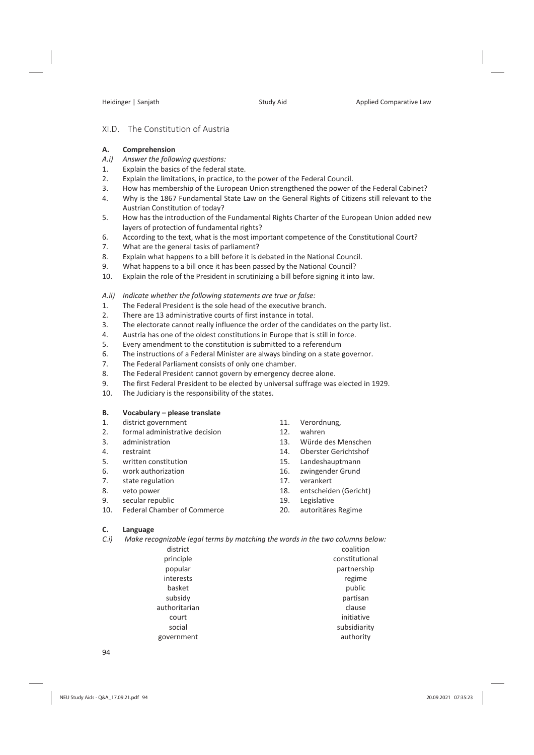### XI.D. The Constitution of Austria

#### **A. Comprehension**

- *A.i) Answer the following questions:*
- 1. Explain the basics of the federal state.
- 2. Explain the limitations, in practice, to the power of the Federal Council.
- 3. How has membership of the European Union strengthened the power of the Federal Cabinet?
- 4. Why is the 1867 Fundamental State Law on the General Rights of Citizens still relevant to the Austrian Constitution of today?
- 5. How has the introduction of the Fundamental Rights Charter of the European Union added new layers of protection of fundamental rights?
- 6. According to the text, what is the most important competence of the Constitutional Court?
- 7. What are the general tasks of parliament?
- 8. Explain what happens to a bill before it is debated in the National Council.
- 9. What happens to a bill once it has been passed by the National Council?
- 10. Explain the role of the President in scrutinizing a bill before signing it into law.

#### *A.ii) Indicate whether the following statements are true or false:*

- 1. The Federal President is the sole head of the executive branch.
- 2. There are 13 administrative courts of first instance in total.
- 3. The electorate cannot really influence the order of the candidates on the party list.
- 4. Austria has one of the oldest constitutions in Europe that is still in force.
- 5. Every amendment to the constitution is submitted to a referendum
- 6. The instructions of a Federal Minister are always binding on a state governor.
- 7. The Federal Parliament consists of only one chamber.
- 8. The Federal President cannot govern by emergency decree alone.
- 9. The first Federal President to be elected by universal suffrage was elected in 1929.
- 10. The Judiciary is the responsibility of the states.

#### **B. Vocabulary – please translate**

- 1. district government
- 2. formal administrative decision
- 3. administration
- 4. restraint
- 5. written constitution
- 6. work authorization
- 7. state regulation
- 8. veto power
- 9. secular republic
- 10. Federal Chamber of Commerce
- 11. Verordnung,
- 12. wahren
- 13. Würde des Menschen
- 14. Oberster Gerichtshof
- 15. Landeshauptmann
- 16. zwingender Grund
- 17. verankert
- 18. entscheiden (Gericht)
- 19. Legislative
- 20. autoritäres Regime

#### **C. Language**

- *C.i) Make recognizable legal terms by matching the words in the two columns below:* 
	- district principle popular interests basket subsidy authoritarian court social government coalition constitutional partnership regime public partisan clause initiative subsidiarity authority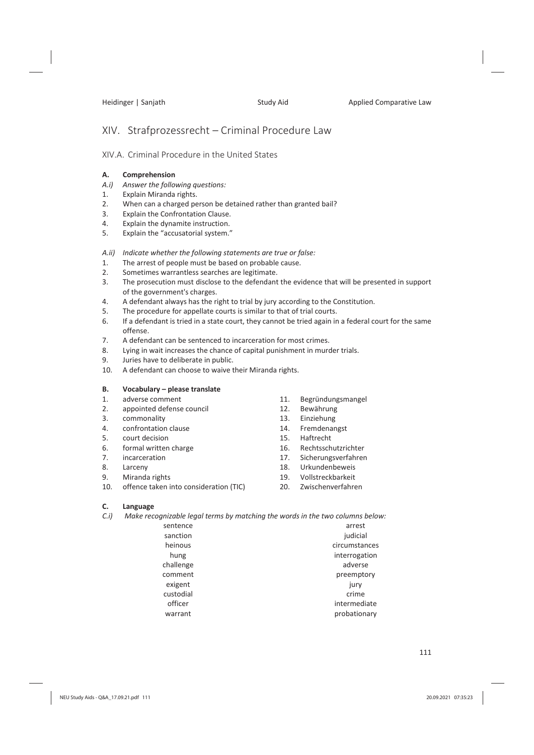# XIV. Strafprozessrecht – Criminal Procedure Law

## XIV.A. Criminal Procedure in the United States

### **A. Comprehension**

- *A.i) Answer the following questions:*
- 1. Explain Miranda rights.
- 2. When can a charged person be detained rather than granted bail?
- 3. Explain the Confrontation Clause.
- 4. Explain the dynamite instruction.
- 5. Explain the "accusatorial system."
- *A.ii) Indicate whether the following statements are true or false:*
- 1. The arrest of people must be based on probable cause.
- 2. Sometimes warrantless searches are legitimate.
- 3. The prosecution must disclose to the defendant the evidence that will be presented in support of the government's charges.
- 4. A defendant always has the right to trial by jury according to the Constitution.
- 5. The procedure for appellate courts is similar to that of trial courts.
- 6. If a defendant is tried in a state court, they cannot be tried again in a federal court for the same offense.
- 7. A defendant can be sentenced to incarceration for most crimes.
- 8. Lying in wait increases the chance of capital punishment in murder trials.
- 9. Juries have to deliberate in public.
- 10. A defendant can choose to waive their Miranda rights.

### **B. Vocabulary – please translate**

- 1. adverse comment
- 2. appointed defense council
- 3. commonality
- 4. confrontation clause
- 5. court decision
- 6. formal written charge
- 7. incarceration
- 8. Larceny
- 9. Miranda rights
- 10. offence taken into consideration (TIC)
- 11. Begründungsmangel
- 12. Bewährung
- 13. Einziehung
- 14. Fremdenangst
- 15. Haftrecht
- 16. Rechtsschutzrichter
- 17. Sicherungsverfahren
- 18. Urkundenbeweis
- 19. Vollstreckbarkeit
- 20. Zwischenverfahren

### **C. Language**

*C.i) Make recognizable legal terms by matching the words in the two columns below:* 

| sentence  | arrest        |  |  |
|-----------|---------------|--|--|
| sanction  | judicial      |  |  |
| heinous   | circumstances |  |  |
| hung      | interrogation |  |  |
| challenge | adverse       |  |  |
| comment   | preemptory    |  |  |
| exigent   | jury          |  |  |
| custodial | crime         |  |  |
| officer   | intermediate  |  |  |
| warrant   | probationary  |  |  |
|           |               |  |  |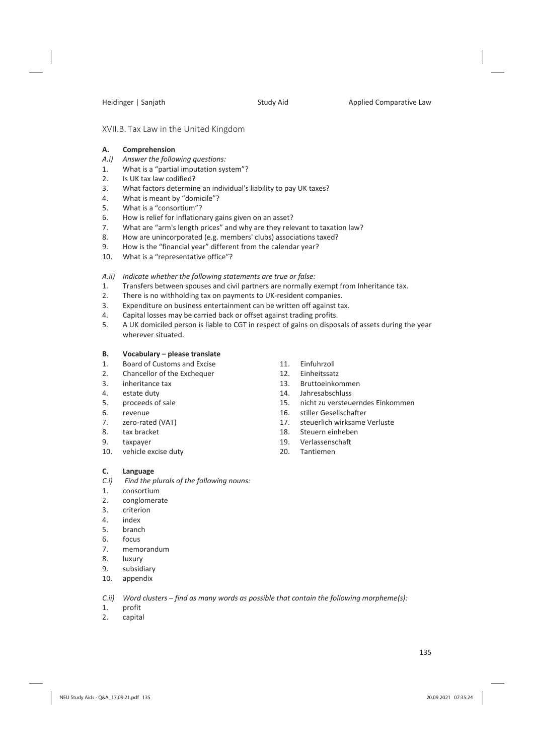#### XVII.B. Tax Law in the United Kingdom

#### **A. Comprehension**

- *A.i) Answer the following questions:*
- 1. What is a "partial imputation system"?
- 2. Is UK tax law codified?
- 3. What factors determine an individual's liability to pay UK taxes?
- 4. What is meant by "domicile"?
- 5. What is a "consortium"?
- 6. How is relief for inflationary gains given on an asset?
- 7. What are "arm's length prices" and why are they relevant to taxation law?
- 8. How are unincorporated (e.g. members' clubs) associations taxed?
- 9. How is the "financial year" different from the calendar year?
- 10. What is a "representative office"?
- *A.ii) Indicate whether the following statements are true or false:*
- 1. Transfers between spouses and civil partners are normally exempt from Inheritance tax.<br>2. There is no withholding tax on payments to UK-resident companies.
- There is no withholding tax on payments to UK-resident companies.
- 3. Expenditure on business entertainment can be written off against tax.
- 4. Capital losses may be carried back or offset against trading profits.
- 5. A UK domiciled person is liable to CGT in respect of gains on disposals of assets during the year wherever situated.

#### **B. Vocabulary – please translate**

- 1. Board of Customs and Excise
- 2. Chancellor of the Exchequer
- 3. inheritance tax
- 4. estate duty
- 5. proceeds of sale
- 6. revenue
- 7. zero-rated (VAT)
- 8. tax bracket
- 9. taxpayer
- 10. vehicle excise duty
- 11. Einfuhrzoll
- 12. Einheitssatz
- 13. Bruttoeinkommen
- 14. Jahresabschluss
- 15. nicht zu versteuerndes Einkommen
- 16. stiller Gesellschafter
- 17. steuerlich wirksame Verluste
- 18. Steuern einheben
- 19. Verlassenschaft
- 20. Tantiemen

#### **C. Language**

- *C.i) Find the plurals of the following nouns:*
- 1. consortium
- 2. conglomerate
- 3. criterion
- 4. index
- 5. branch
- 6. focus
- 7. memorandum
- 8. luxury
- 9. subsidiary
- 10. appendix

*C.ii) Word clusters – find as many words as possible that contain the following morpheme(s):* 

- 1. profit
- 2. capital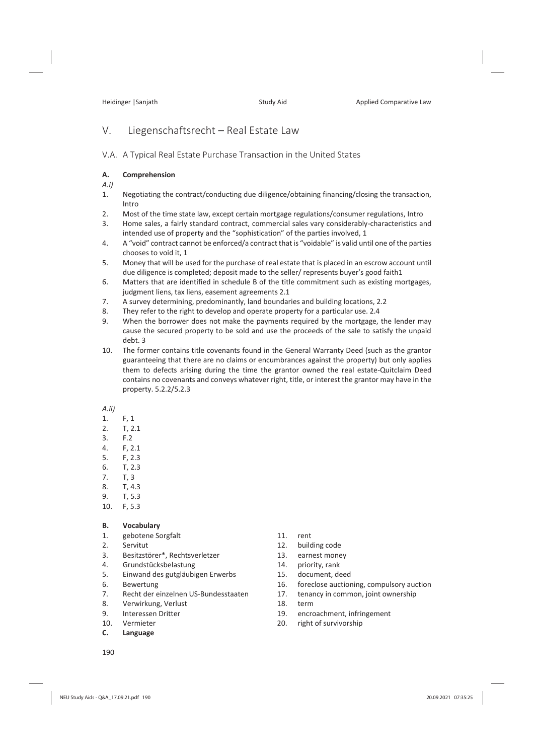# V. Liegenschaftsrecht – Real Estate Law

V.A. A Typical Real Estate Purchase Transaction in the United States

#### **A. Comprehension**

*A.i)*

- 1. Negotiating the contract/conducting due diligence/obtaining financing/closing the transaction, Intro
- 2. Most of the time state law, except certain mortgage regulations/consumer regulations, Intro
- 3. Home sales, a fairly standard contract, commercial sales vary considerably-characteristics and intended use of property and the "sophistication" of the parties involved, 1
- 4. A "void" contract cannot be enforced/a contract that is "voidable" is valid until one of the parties chooses to void it, 1
- 5. Money that will be used for the purchase of real estate that is placed in an escrow account until due diligence is completed; deposit made to the seller/ represents buyer's good faith1
- 6. Matters that are identified in schedule B of the title commitment such as existing mortgages, judgment liens, tax liens, easement agreements 2.1
- 7. A survey determining, predominantly, land boundaries and building locations, 2.2
- 8. They refer to the right to develop and operate property for a particular use. 2.4
- 9. When the borrower does not make the payments required by the mortgage, the lender may cause the secured property to be sold and use the proceeds of the sale to satisfy the unpaid debt. 3
- 10. The former contains title covenants found in the General Warranty Deed (such as the grantor guaranteeing that there are no claims or encumbrances against the property) but only applies them to defects arising during the time the grantor owned the real estate-Quitclaim Deed contains no covenants and conveys whatever right, title, or interest the grantor may have in the property. 5.2.2/5.2.3
- *A.ii)*
- 1. F, 1
- 2. T, 2.1
- 3. F.2
- 4. F, 2.1
- 5. F, 2.3
- 6. T, 2.3
- 7. T, 3
- 8. T, 4.3
- 9. T, 5.3
- 10. F, 5.3

#### **B. Vocabulary**

- 1. gebotene Sorgfalt
- 2. Servitut
- 3. Besitzstörer\*, Rechtsverletzer
- 4. Grundstücksbelastung
- 5. Einwand des gutgläubigen Erwerbs
- 6. Bewertung
- 7. Recht der einzelnen US-Bundesstaaten
- 8. Verwirkung, Verlust
- 9. Interessen Dritter
- 10. Vermieter
- **C. Language**
- 11. rent
- 12. building code
- 13. earnest money
- 14. priority, rank
- 15. document, deed
- 16. foreclose auctioning, compulsory auction
- 17. tenancy in common, joint ownership
- 18. term
- 19. encroachment, infringement
- 20. right of survivorship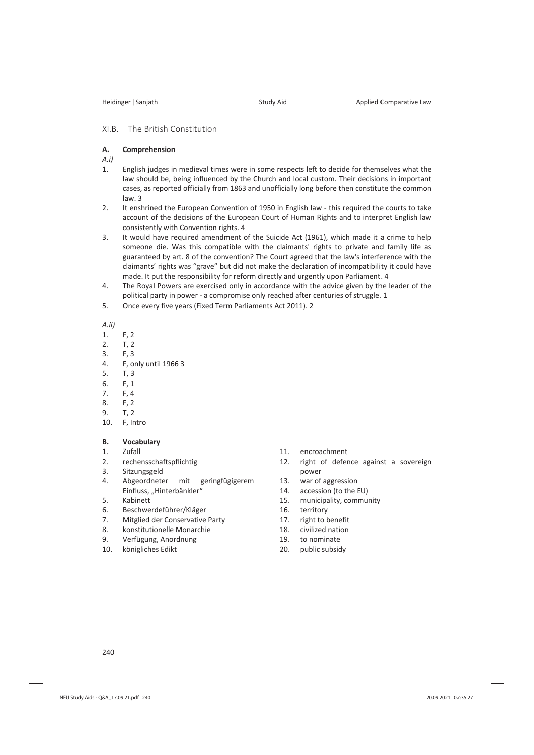#### XI.B. The British Constitution

#### **A. Comprehension**

#### *A.i)*

- 1. English judges in medieval times were in some respects left to decide for themselves what the law should be, being influenced by the Church and local custom. Their decisions in important cases, as reported officially from 1863 and unofficially long before then constitute the common law. 3
- 2. It enshrined the European Convention of 1950 in English law this required the courts to take account of the decisions of the European Court of Human Rights and to interpret English law consistently with Convention rights. 4
- 3. It would have required amendment of the Suicide Act (1961), which made it a crime to help someone die. Was this compatible with the claimants' rights to private and family life as guaranteed by art. 8 of the convention? The Court agreed that the law's interference with the claimants' rights was "grave" but did not make the declaration of incompatibility it could have made. It put the responsibility for reform directly and urgently upon Parliament. 4
- 4. The Royal Powers are exercised only in accordance with the advice given by the leader of the political party in power - a compromise only reached after centuries of struggle. 1
- 5. Once every five years (Fixed Term Parliaments Act 2011). 2

#### *A.ii)*

- 1. F, 2
- 2. T, 2
- 3. F, 3
- 4. F, only until 1966 3
- 5. T, 3
- 
- 6. F, 1<br>7. F. 4 7. F, 4
- 8. F, 2
- 9. T, 2
- 10. F, Intro

#### **B. Vocabulary**

- 1. Zufall
- 2. rechensschaftspflichtig
- 3. Sitzungsgeld
- 4. Abgeordneter mit geringfügigerem Einfluss, "Hinterbänkler"
- 5. Kabinett
- 6. Beschwerdeführer/Kläger
- 7. Mitglied der Conservative Party
- 8. konstitutionelle Monarchie
- 9. Verfügung, Anordnung
- 10. königliches Edikt
- 11. encroachment
- 12. right of defence against a sovereign power
- 13. war of aggression
- 14. accession (to the EU)
- 15. municipality, community
- 16. territory
- 17. right to benefit
- 18. civilized nation
- 19. to nominate
- 20. public subsidy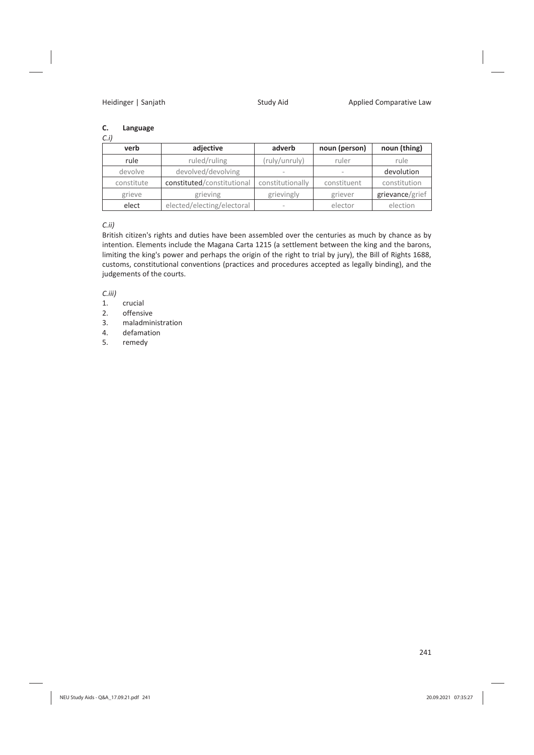### **C. Language**

| $C_{.}i)$  |                            |                          |               |                 |
|------------|----------------------------|--------------------------|---------------|-----------------|
| verb       | adjective                  | adverb                   | noun (person) | noun (thing)    |
| rule       | ruled/ruling               | (ruly/unruly)            | ruler         | rule            |
| devolve    | devolved/devolving         | $\overline{\phantom{a}}$ | $\sim$        | devolution      |
| constitute | constituted/constitutional | constitutionally         | constituent   | constitution    |
| grieve     | grieving                   | grievingly               | griever       | grievance/grief |
| elect      | elected/electing/electoral |                          | elector       | election        |

*C.ii)*

British citizen's rights and duties have been assembled over the centuries as much by chance as by intention. Elements include the Magana Carta 1215 (a settlement between the king and the barons, limiting the king's power and perhaps the origin of the right to trial by jury), the Bill of Rights 1688, customs, constitutional conventions (practices and procedures accepted as legally binding), and the judgements of the courts.

*C.iii)* 

- 1. crucial<br>2. offensi
- offensive
- 3. maladministration
- 4. defamation
- 5. remedy